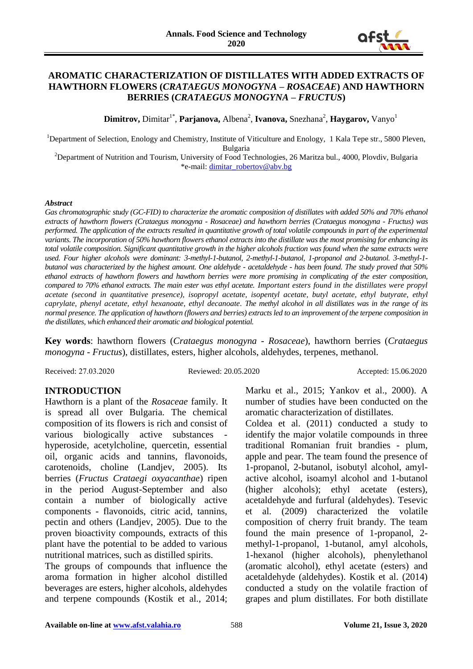

### **AROMATIC CHARACTERIZATION OF DISTILLATES WITH ADDED EXTRACTS OF HAWTHORN FLOWERS (***CRATAEGUS MONOGYNA – ROSACEAE***) AND HAWTHORN BERRIES (***CRATAEGUS MONOGYNA – FRUCTUS***)**

 $\mathbf{Dimitrov}, \mathbf{Dimitar}^{1*}, \mathbf{Parjanova}, \mathbf{Albena}^{2}, \mathbf{Ivanova}, \mathbf{Snezhana}^{2}, \mathbf{Haygarov}, \mathbf{Vanyo}^{1}$ 

<sup>1</sup>Department of Selection, Enology and Chemistry, Institute of Viticulture and Enology, 1 Kala Tepe str., 5800 Pleven, Bulgaria

<sup>2</sup>Department of Nutrition and Tourism, University of Food Technologies, 26 Maritza bul., 4000, Plovdiv, Bulgaria \*e-mail: [dimitar\\_robertov@abv.bg](mailto:dimitar_robertov@abv.bg)

#### *Abstract*

Gas chromatographic study (GC-FID) to characterize the aromatic composition of distillates with added 50% and 70% ethanol *extracts of hawthorn flowers (Crataegus monogyna - Rosaceae) and hawthorn berries (Crataegus monogyna - Fructus) was performed. The application of the extracts resulted in quantitative growth of total volatile compounds in part of the experimental variants. The incorporation of 50% hawthorn flowers ethanol extracts into the distillate was the most promising for enhancing its total volatile composition. Significant quantitative growth in the higher alcohols fraction was found when the same extracts were used. Four higher alcohols were dominant: 3-methyl-1-butanol, 2-methyl-1-butanol, 1-propanol and 2-butanol. 3-methyl-1 butanol was characterized by the highest amount. One aldehyde - acetaldehyde - has been found. The study proved that 50% ethanol extracts of hawthorn flowers and hawthorn berries were more promising in complicating of the ester composition, compared to 70% ethanol extracts. The main ester was ethyl acetate. Important esters found in the distillates were propyl acetate (second in quantitative presence), isopropyl acetate, isopentyl acetate, butyl acetate, ethyl butyrate, ethyl caprylate, phenyl acetate, ethyl hexanoate, ethyl decanoate. The methyl alcohol in all distillates was in the range of its normal presence. The application of hawthorn (flowers and berries) extracts led to an improvement of the terpene composition in the distillates, which enhanced their aromatic and biological potential.*

**Key words**: hawthorn flowers (*Crataegus monogyna - Rosaceae*), hawthorn berries (*Crataegus monogyna - Fructus*), distillates, esters, higher alcohols, aldehydes, terpenes, methanol.

Received: 27.03.2020 Reviewed: 20.05.2020 Accepted: 15.06.2020

#### **INTRODUCTION**

Hawthorn is a plant of the *Rosaceae* family. It is spread all over Bulgaria. The chemical composition of its flowers is rich and consist of various biologically active substances hyperoside, acetylcholine, quercetin, essential oil, organic acids and tannins, flavonoids, carotenoids, choline (Landjev, 2005). Its berries (*Fructus Crataegi oxyacanthae*) ripen in the period August-September and also contain a number of biologically active components - flavonoids, citric acid, tannins, pectin and others (Landjev, 2005). Due to the proven bioactivity compounds, extracts of this plant have the potential to be added to various nutritional matrices, such as distilled spirits.

The groups of compounds that influence the aroma formation in higher alcohol distilled beverages are esters, higher alcohols, aldehydes and terpene compounds (Kostik et al., 2014; Marku et al., 2015; Yankov et al., 2000). A number of studies have been conducted on the aromatic characterization of distillates.

Coldea et al. (2011) conducted a study to identify the major volatile compounds in three traditional Romanian fruit brandies - plum, apple and pear. The team found the presence of 1-propanol, 2-butanol, isobutyl alcohol, amylactive alcohol, isoamyl alcohol and 1-butanol (higher alcohols); ethyl acetate (esters), acetaldehyde and furfural (aldehydes). Tesevic et al. (2009) characterized the volatile composition of cherry fruit brandy. The team found the main presence of 1-propanol, 2 methyl-1-propanol, 1-butanol, amyl alcohols, 1-hexanol (higher alcohols), phenylethanol (aromatic alcohol), ethyl acetate (esters) and acetaldehyde (aldehydes). Kostik et al. (2014) conducted a study on the volatile fraction of grapes and plum distillates. For both distillate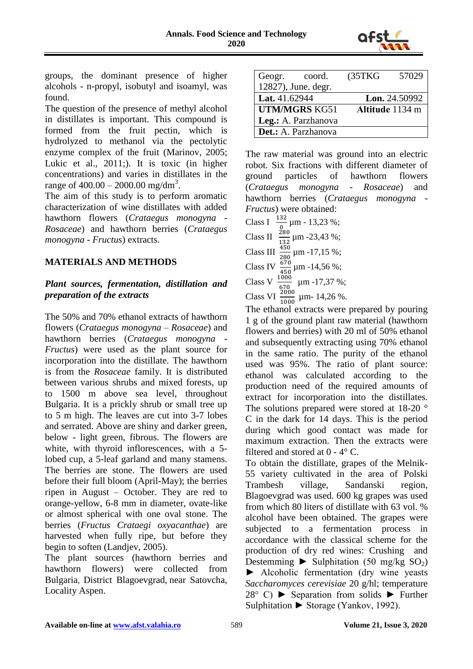

groups, the dominant presence of higher alcohols - n-propyl, isobutyl and isoamyl, was found.

The question of the presence of methyl alcohol in distillates is important. This compound is formed from the fruit pectin, which is hydrolyzed to methanol via the pectolytic enzyme complex of the fruit (Marinov, 2005; Lukic et al., 2011;). It is toxic (in higher concentrations) and varies in distillates in the range of  $400.00 - 2000.00$  mg/dm<sup>3</sup>.

The aim of this study is to perform aromatic characterization of wine distillates with added hawthorn flowers (*Crataegus monogyna - Rosaceae*) and hawthorn berries (*Crataegus monogyna - Fructus*) extracts.

## **MATERIALS AND METHODS**

# *Plant sources, fermentation, distillation and preparation of the extracts*

The 50% and 70% ethanol extracts of hawthorn flowers (*Crataegus monogyna – Rosaceae*) and hawthorn berries (*Crataegus monogyna - Fructus*) were used as the plant source for incorporation into the distillate. The hawthorn is from the *Rosaceae* family. It is distributed between various shrubs and mixed forests, up to 1500 m above sea level, throughout Bulgaria. It is a prickly shrub or small tree up to 5 m high. The leaves are cut into 3-7 lobes and serrated. Above are shiny and darker green, below - light green, fibrous. The flowers are white, with thyroid inflorescences, with a 5 lobed cup, a 5-leaf garland and many stamens. The berries are stone. The flowers are used before their full bloom (April-May); the berries ripen in August – October. They are red to orange-yellow, 6-8 mm in diameter, ovate-like or almost spherical with one oval stone. The berries (*Fructus Crataegi oxyacanthae*) are harvested when fully ripe, but before they begin to soften (Landjev, 2005).

The plant sources (hawthorn berries and hawthorn flowers) were collected from Bulgaria, District Blagoevgrad, near Satovcha, Locality Aspen.

| Geogr.<br>coord.           | (35TKG) | 57029           |
|----------------------------|---------|-----------------|
| 12827), June. degr.        |         |                 |
| Lat. 41.62944              |         | Lon. 24.50992   |
| <b>UTM/MGRS KG51</b>       |         | Altitude 1134 m |
| Leg.: A. Parzhanova        |         |                 |
| <b>Det.:</b> A. Parzhanova |         |                 |

The raw material was ground into an electric robot. Six fractions with different diameter of ground particles of hawthorn flowers (*Crataegus monogyna - Rosaceae*) and hawthorn berries (*Crataegus monogyna - Fructus*) were obtained:

Class I  $\frac{132}{0}$  µm - 13,23 %; Class II  $\frac{280}{132}$  µm -23,43 %; Class III  $\frac{450}{280}$  µm -17,15 %; Class IV  $\frac{670}{450}$  µm -14,56 %; Class V  $\frac{1000}{670}$  µm -17,37 %; Class VI  $\frac{2000}{1000}$  µm- 14,26 %.

The ethanol extracts were prepared by pouring 1 g of the ground plant raw material (hawthorn flowers and berries) with 20 ml of 50% ethanol and subsequently extracting using 70% ethanol in the same ratio. The purity of the ethanol used was 95%. The ratio of plant source: ethanol was calculated according to the production need of the required amounts of extract for incorporation into the distillates. The solutions prepared were stored at 18-20 ° C in the dark for 14 days. This is the period during which good contact was made for maximum extraction. Then the extracts were filtered and stored at  $0 - 4^{\circ}$  C.

To obtain the distillate, grapes of the Melnik-55 variety cultivated in the area of Polski Trambesh village, Sandanski region, Blagoevgrad was used. 600 kg grapes was used from which 80 liters of distillate with 63 vol. % alcohol have been obtained. The grapes were subjected to a fermentation process in accordance with the classical scheme for the production of dry red wines: Crushing and Destemming  $\blacktriangleright$  Sulphitation (50 mg/kg SO<sub>2</sub>) ► Alcoholic fermentation (dry wine yeasts *Saccharomyces cerevisiae* 20 g/hl; temperature  $28^{\circ}$  C)  $\blacktriangleright$  Separation from solids  $\blacktriangleright$  Further Sulphitation ► Storage (Yankov, 1992).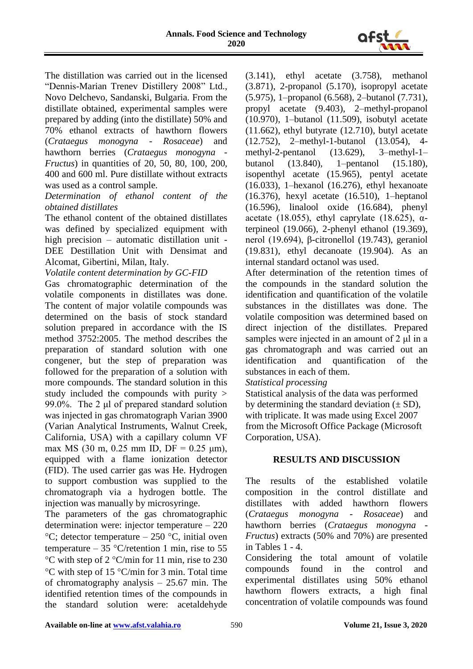

The distillation was carried out in the licensed "Dennis-Marian Trenev Distillery 2008" Ltd., Novo Delchevo, Sandanski, Bulgaria. From the distillate obtained, experimental samples were prepared by adding (into the distillate) 50% and 70% ethanol extracts of hawthorn flowers (*Crataegus monogyna - Rosaceae*) and hawthorn berries (*Crataegus monogyna - Fructus*) in quantities of 20, 50, 80, 100, 200, 400 and 600 ml. Pure distillate without extracts was used as a control sample.

*Determination of ethanol content of the obtained distillates* 

The ethanol content of the obtained distillates was defined by specialized equipment with high precision – automatic distillation unit - DEE Destillation Unit with Densimat and Alcomat, Gibertini, Milan, Italy.

*Volatile content determination by GC-FID*

Gas chromatographic determination of the volatile components in distillates was done. The content of major volatile compounds was determined on the basis of stock standard solution prepared in accordance with the IS method 3752:2005. The method describes the preparation of standard solution with one congener, but the step of preparation was followed for the preparation of a solution with more compounds. The standard solution in this study included the compounds with purity > 99.0%. The 2 μl of prepared standard solution was injected in gas chromatograph Varian 3900 (Varian Analytical Instruments, Walnut Creek, California, USA) with a capillary column VF max MS (30 m, 0.25 mm ID, DF = 0.25  $\mu$ m), equipped with a flame ionization detector (FID). The used carrier gas was He. Hydrogen to support combustion was supplied to the chromatograph via a hydrogen bottle. The injection was manually by microsyringe.

The parameters of the gas chromatographic determination were: injector temperature – 220  $\rm{^{\circ}C}$ ; detector temperature – 250  $\rm{^{\circ}C}$ , initial oven temperature – 35 °C/retention 1 min, rise to 55  $\rm{^{\circ}C}$  with step of 2  $\rm{^{\circ}C/min}$  for 11 min, rise to 230  $\rm{^{\circ}C}$  with step of 15  $\rm{^{\circ}C/min}$  for 3 min. Total time of chromatography analysis – 25.67 min. The identified retention times of the compounds in the standard solution were: acetaldehyde

(3.141), ethyl acetate (3.758), methanol (3.871), 2-propanol (5.170), isopropyl acetate (5.975), 1–propanol (6.568), 2–butanol (7.731), propyl acetate (9.403), 2–methyl-propanol (10.970), 1–butanol (11.509), isobutyl acetate (11.662), ethyl butyrate (12.710), butyl acetate (12.752), 2–methyl-1-butanol (13.054), 4 methyl-2-pentanol (13.629), 3–methyl-1– butanol (13.840), 1–pentanol (15.180), isopenthyl acetate (15.965), pentyl acetate (16.033), 1–hexanol (16.276), ethyl hexanoate (16.376), hexyl acetate (16.510), 1–heptanol (16.596), linalool oxide (16.684), phenyl acetate (18.055), ethyl caprylate (18.625),  $\alpha$ terpineol (19.066), 2-phenyl ethanol (19.369), nerol (19.694), β-citronellol (19.743), geraniol (19.831), ethyl decanoate (19.904). As an internal standard octanol was used.

After determination of the retention times of the compounds in the standard solution the identification and quantification of the volatile substances in the distillates was done. The volatile composition was determined based on direct injection of the distillates. Prepared samples were injected in an amount of 2 μl in a gas chromatograph and was carried out an identification and quantification of the substances in each of them.

*Statistical processing*

Statistical analysis of the data was performed by determining the standard deviation  $(\pm SD)$ , with triplicate. It was made using Excel 2007 from the Microsoft Office Package (Microsoft Corporation, USA).

## **RESULTS AND DISCUSSION**

The results of the established volatile composition in the control distillate and distillates with added hawthorn flowers (*Crataegus monogyna - Rosaceae*) and hawthorn berries (*Crataegus monogyna - Fructus*) extracts (50% and 70%) are presented in Tables 1 - 4.

Considering the total amount of volatile compounds found in the control and experimental distillates using 50% ethanol hawthorn flowers extracts, a high final concentration of volatile compounds was found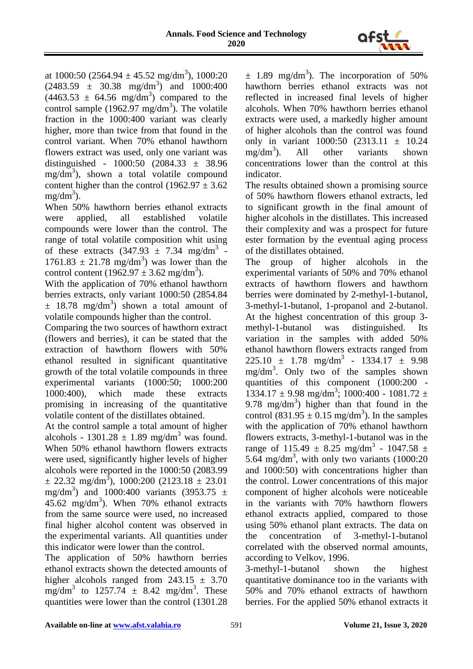

at  $1000:50$  (2564.94  $\pm$  45.52 mg/dm<sup>3</sup>), 1000:20  $(2483.59 \pm 30.38 \text{ mg/dm}^3)$  and  $1000:400$  $(4463.53 \pm 64.56 \text{ mg/dm}^3)$  compared to the control sample (1962.97 mg/dm<sup>3</sup>). The volatile fraction in the 1000:400 variant was clearly higher, more than twice from that found in the control variant. When 70% ethanol hawthorn flowers extract was used, only one variant was distinguished - 1000:50 (2084.33 ± 38.96 mg/dm<sup>3</sup>), shown a total volatile compound content higher than the control (1962.97  $\pm$  3.62  $mg/dm^3$ ).

When 50% hawthorn berries ethanol extracts were applied, all established volatile compounds were lower than the control. The range of total volatile composition whit using of these extracts  $(347.93 \pm 7.34 \text{ mg/dm}^3)$  $1761.83 \pm 21.78$  mg/dm<sup>3</sup>) was lower than the control content (1962.97  $\pm$  3.62 mg/dm<sup>3</sup>).

With the application of 70% ethanol hawthorn berries extracts, only variant 1000:50 (2854.84  $\pm$  18.78 mg/dm<sup>3</sup>) shown a total amount of volatile compounds higher than the control.

Comparing the two sources of hawthorn extract (flowers and berries), it can be stated that the extraction of hawthorn flowers with 50% ethanol resulted in significant quantitative growth of the total volatile compounds in three experimental variants (1000:50; 1000:200 1000:400), which made these extracts promising in increasing of the quantitative volatile content of the distillates obtained.

At the control sample a total amount of higher alcohols - 1301.28  $\pm$  1.89 mg/dm<sup>3</sup> was found. When 50% ethanol hawthorn flowers extracts were used, significantly higher levels of higher alcohols were reported in the 1000:50 (2083.99  $\pm$  22.32 mg/dm<sup>3</sup>), 1000:200 (2123.18  $\pm$  23.01 mg/dm<sup>3</sup>) and 1000:400 variants (3953.75  $\pm$  $45.62 \text{ mg/dm}^3$ ). When 70% ethanol extracts from the same source were used, no increased final higher alcohol content was observed in the experimental variants. All quantities under this indicator were lower than the control.

The application of 50% hawthorn berries ethanol extracts shown the detected amounts of higher alcohols ranged from  $243.15 \pm 3.70$ mg/dm<sup>3</sup> to  $1257.74 \pm 8.42$  mg/dm<sup>3</sup>. These quantities were lower than the control (1301.28

 $\pm$  1.89 mg/dm<sup>3</sup>). The incorporation of 50% hawthorn berries ethanol extracts was not reflected in increased final levels of higher alcohols. When 70% hawthorn berries ethanol extracts were used, a markedly higher amount of higher alcohols than the control was found only in variant  $1000:50$   $(2313.11 \pm 10.24)$  $mg/dm^3$ ). ). All other variants shown concentrations lower than the control at this indicator.

The results obtained shown a promising source of 50% hawthorn flowers ethanol extracts, led to significant growth in the final amount of higher alcohols in the distillates. This increased their complexity and was a prospect for future ester formation by the eventual aging process of the distillates obtained.

The group of higher alcohols in the experimental variants of 50% and 70% ethanol extracts of hawthorn flowers and hawthorn berries were dominated by 2-methyl-1-butanol, 3-methyl-1-butanol, 1-propanol and 2-butanol. At the highest concentration of this group 3 methyl-1-butanol was distinguished. Its variation in the samples with added 50% ethanol hawthorn flowers extracts ranged from  $225.10 \pm 1.78 \text{ mg/dm}^3 - 1334.17 \pm 9.98$ mg/dm<sup>3</sup>. Only two of the samples shown quantities of this component (1000:200 -  $1334.17 \pm 9.98$  mg/dm<sup>3</sup>;  $1000:400 - 1081.72 \pm$ 9.78 mg/dm<sup>3</sup>) higher than that found in the control  $(831.95 \pm 0.15 \text{ mg/dm}^3)$ . In the samples with the application of 70% ethanol hawthorn flowers extracts, 3-methyl-1-butanol was in the range of 115.49  $\pm$  8.25 mg/dm<sup>3</sup> - 1047.58  $\pm$ 5.64 mg/dm<sup>3</sup>, with only two variants  $(1000:20)$ and 1000:50) with concentrations higher than the control. Lower concentrations of this major component of higher alcohols were noticeable in the variants with 70% hawthorn flowers ethanol extracts applied, compared to those using 50% ethanol plant extracts. The data on the concentration of 3-methyl-1-butanol correlated with the observed normal amounts, according to Velkov, 1996.

3-methyl-1-butanol shown the highest quantitative dominance too in the variants with 50% and 70% ethanol extracts of hawthorn berries. For the applied 50% ethanol extracts it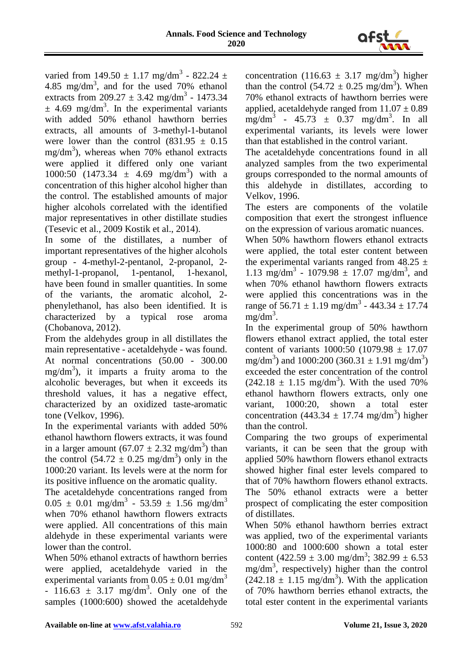

varied from  $149.50 \pm 1.17$  mg/dm<sup>3</sup> - 822.24  $\pm$ 4.85 mg/dm<sup>3</sup>, and for the used 70% ethanol extracts from  $209.27 \pm 3.42$  mg/dm<sup>3</sup> - 1473.34  $\pm$  4.69 mg/dm<sup>3</sup>. In the experimental variants with added 50% ethanol hawthorn berries extracts, all amounts of 3-methyl-1-butanol were lower than the control  $(831.95 \pm 0.15$ mg/dm<sup>3</sup>), whereas when 70% ethanol extracts were applied it differed only one variant 1000:50  $(1473.34 \pm 4.69 \text{ mg/dm}^3)$  with a concentration of this higher alcohol higher than the control. The established amounts of major higher alcohols correlated with the identified major representatives in other distillate studies (Tesevic et al., 2009 Kostik et al., 2014).

In some of the distillates, a number of important representatives of the higher alcohols group - 4-methyl-2-pentanol, 2-propanol, 2 methyl-1-propanol, 1-pentanol, 1-hexanol, have been found in smaller quantities. In some of the variants, the aromatic alcohol, 2 phenylethanol, has also been identified. It is characterized by a typical rose aroma (Chobanova, 2012).

From the aldehydes group in all distillates the main representative - acetaldehyde - was found. At normal concentrations (50.00 - 300.00  $mg/dm<sup>3</sup>$ ), it imparts a fruity aroma to the alcoholic beverages, but when it exceeds its threshold values, it has a negative effect, characterized by an oxidized taste-aromatic tone (Velkov, 1996).

In the experimental variants with added 50% ethanol hawthorn flowers extracts, it was found in a larger amount  $(67.07 \pm 2.32 \text{ mg/dm}^3)$  than the control  $(54.72 \pm 0.25 \text{ mg/dm}^3)$  only in the 1000:20 variant. Its levels were at the norm for its positive influence on the aromatic quality.

The acetaldehyde concentrations ranged from  $0.05 \pm 0.01$  mg/dm<sup>3</sup> - 53.59  $\pm$  1.56 mg/dm<sup>3</sup> when 70% ethanol hawthorn flowers extracts were applied. All concentrations of this main aldehyde in these experimental variants were lower than the control.

When 50% ethanol extracts of hawthorn berries were applied, acetaldehyde varied in the experimental variants from  $0.05 \pm 0.01$  mg/dm<sup>3</sup>  $-116.63 \pm 3.17$  mg/dm<sup>3</sup>. Only one of the samples (1000:600) showed the acetaldehyde

concentration  $(116.63 \pm 3.17 \text{ mg/dm}^3)$  higher than the control  $(54.72 \pm 0.25 \text{ mg/dm}^3)$ . When 70% ethanol extracts of hawthorn berries were applied, acetaldehyde ranged from  $11.07 \pm 0.89$  $mg/dm^3$  - 45.73  $\pm$  0.37 mg/dm<sup>3</sup>. In all experimental variants, its levels were lower than that established in the control variant.

The acetaldehyde concentrations found in all analyzed samples from the two experimental groups corresponded to the normal amounts of this aldehyde in distillates, according to Velkov, 1996.

The esters are components of the volatile composition that exert the strongest influence on the expression of various aromatic nuances.

When 50% hawthorn flowers ethanol extracts were applied, the total ester content between the experimental variants ranged from  $48.25 \pm$ 1.13 mg/dm<sup>3</sup> - 1079.98  $\pm$  17.07 mg/dm<sup>3</sup>, and when 70% ethanol hawthorn flowers extracts were applied this concentrations was in the range of  $56.71 \pm 1.19$  mg/dm<sup>3</sup> - 443.34  $\pm$  17.74  $mg/dm^3$ .

In the experimental group of 50% hawthorn flowers ethanol extract applied, the total ester content of variants  $1000:50$  (1079.98  $\pm$  17.07 mg/dm<sup>3</sup>) and 1000:200 (360.31  $\pm$  1.91 mg/dm<sup>3</sup>) exceeded the ester concentration of the control  $(242.18 \pm 1.15 \text{ mg/dm}^3)$ . With the used 70% ethanol hawthorn flowers extracts, only one variant, 1000:20, shown a total ester concentration (443.34  $\pm$  17.74 mg/dm<sup>3</sup>) higher than the control.

Comparing the two groups of experimental variants, it can be seen that the group with applied 50% hawthorn flowers ethanol extracts showed higher final ester levels compared to that of 70% hawthorn flowers ethanol extracts. The 50% ethanol extracts were a better prospect of complicating the ester composition of distillates.

When 50% ethanol hawthorn berries extract was applied, two of the experimental variants 1000:80 and 1000:600 shown a total ester content  $(422.59 \pm 3.00 \text{ mg/dm}^3; 382.99 \pm 6.53$ mg/dm<sup>3</sup> , respectively) higher than the control  $(242.18 \pm 1.15 \text{ mg/dm}^3)$ . With the application of 70% hawthorn berries ethanol extracts, the total ester content in the experimental variants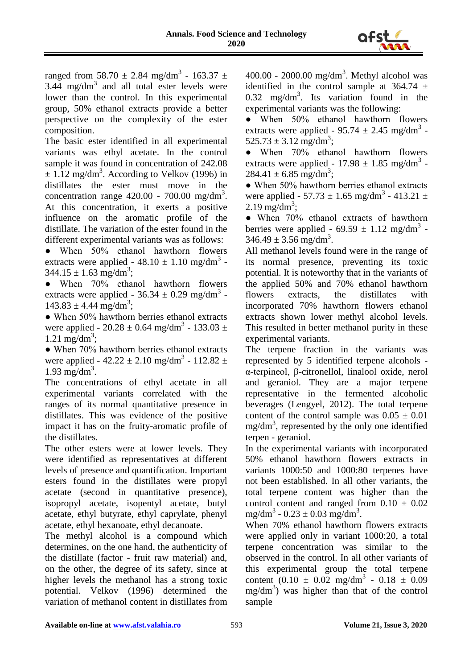

ranged from 58.70  $\pm$  2.84 mg/dm<sup>3</sup> - 163.37  $\pm$ 3.44 mg/dm<sup>3</sup> and all total ester levels were lower than the control. In this experimental group, 50% ethanol extracts provide a better perspective on the complexity of the ester composition.

The basic ester identified in all experimental variants was ethyl acetate. In the control sample it was found in concentration of 242.08  $\pm$  1.12 mg/dm<sup>3</sup>. According to Velkov (1996) in distillates the ester must move in the concentration range  $420.00 - 700.00$  mg/dm<sup>3</sup>. At this concentration, it exerts a positive influence on the aromatic profile of the distillate. The variation of the ester found in the different experimental variants was as follows:

• When 50% ethanol hawthorn flowers extracts were applied -  $48.10 \pm 1.10$  mg/dm<sup>3</sup> - $344.15 \pm 1.63$  mg/dm<sup>3</sup>;

• When 70% ethanol hawthorn flowers extracts were applied -  $36.34 \pm 0.29$  mg/dm<sup>3</sup> - $143.83 \pm 4.44$  mg/dm<sup>3</sup>;

• When 50% hawthorn berries ethanol extracts were applied - 20.28  $\pm$  0.64 mg/dm<sup>3</sup> - 133.03  $\pm$  $1.21 \text{ mg/dm}^3$ ;

• When 70% hawthorn berries ethanol extracts were applied -  $42.22 \pm 2.10$  mg/dm<sup>3</sup> -  $112.82 \pm$  $1.93 \text{ mg/dm}^3$ .

The concentrations of ethyl acetate in all experimental variants correlated with the ranges of its normal quantitative presence in distillates. This was evidence of the positive impact it has on the fruity-aromatic profile of the distillates.

The other esters were at lower levels. They were identified as representatives at different levels of presence and quantification. Important esters found in the distillates were propyl acetate (second in quantitative presence), isopropyl acetate, isopentyl acetate, butyl acetate, ethyl butyrate, ethyl caprylate, phenyl acetate, ethyl hexanoate, ethyl decanoate.

The methyl alcohol is a compound which determines, on the one hand, the authenticity of the distillate (factor - fruit raw material) and, on the other, the degree of its safety, since at higher levels the methanol has a strong toxic potential. Velkov (1996) determined the variation of methanol content in distillates from

 $400.00 - 2000.00$  mg/dm<sup>3</sup>. Methyl alcohol was identified in the control sample at  $364.74 \pm$ 0.32 mg/dm<sup>3</sup>. Its variation found in the experimental variants was the following:

● When 50% ethanol hawthorn flowers extracts were applied -  $95.74 \pm 2.45$  mg/dm<sup>3</sup> - $525.73 \pm 3.12$  mg/dm<sup>3</sup>;

• When 70% ethanol hawthorn flowers extracts were applied -  $17.98 \pm 1.85$  mg/dm<sup>3</sup> - $284.41 \pm 6.85$  mg/dm<sup>3</sup>;

• When 50% hawthorn berries ethanol extracts were applied - 57.73  $\pm$  1.65 mg/dm<sup>3</sup> - 413.21  $\pm$  $2.19 \text{ mg/dm}^3$ ;

● When 70% ethanol extracts of hawthorn berries were applied -  $69.59 \pm 1.12$  mg/dm<sup>3</sup> - $346.49 \pm 3.56$  mg/dm<sup>3</sup>.

All methanol levels found were in the range of its normal presence, preventing its toxic potential. It is noteworthy that in the variants of the applied 50% and 70% ethanol hawthorn flowers extracts, the distillates with incorporated 70% hawthorn flowers ethanol extracts shown lower methyl alcohol levels. This resulted in better methanol purity in these experimental variants.

The terpene fraction in the variants was represented by 5 identified terpene alcohols α-terpineol, β-citronellol, linalool oxide, nerol and geraniol. They are a major terpene representative in the fermented alcoholic beverages (Lengyel, 2012). The total terpene content of the control sample was  $0.05 \pm 0.01$ mg/dm<sup>3</sup> , represented by the only one identified terpen - geraniol.

In the experimental variants with incorporated 50% ethanol hawthorn flowers extracts in variants 1000:50 and 1000:80 terpenes have not been established. In all other variants, the total terpene content was higher than the control content and ranged from  $0.10 \pm 0.02$  $mg/dm^3 - 0.23 \pm 0.03$  mg/dm<sup>3</sup>.

When 70% ethanol hawthorn flowers extracts were applied only in variant 1000:20, a total terpene concentration was similar to the observed in the control. In all other variants of this experimental group the total terpene content  $(0.10 \pm 0.02 \text{ mg/dm}^3 - 0.18 \pm 0.09$  $mg/dm<sup>3</sup>$ ) was higher than that of the control sample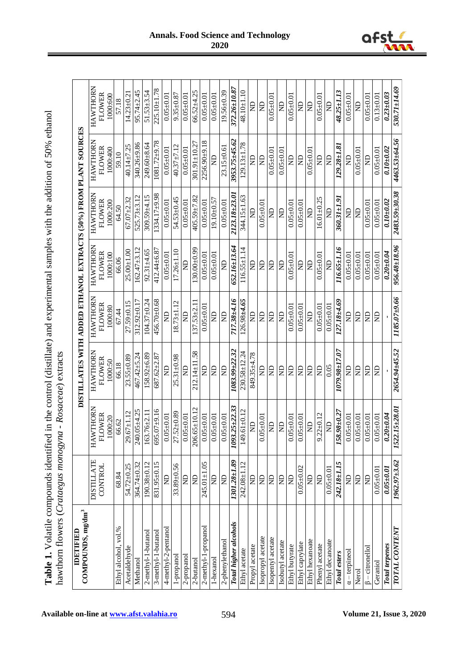| dentified in the control (distillate) and experimental samples with the addition of $50\%$ ethanol<br>He could have a complete the could contribute the could contribute the contribution of the contribution of the could contribute the could be a contributed of the could contribute the could contribute the could contribute t |                                                                                  |
|--------------------------------------------------------------------------------------------------------------------------------------------------------------------------------------------------------------------------------------------------------------------------------------------------------------------------------------|----------------------------------------------------------------------------------|
|                                                                                                                                                                                                                                                                                                                                      |                                                                                  |
| $5 - 5$<br>                                                                                                                                                                                                                                                                                                                          | nonogyna - Kosaceae) extracts<br>こうり フォクネーシー じょうこう 一十 2年52 ユキュラ<br>$\frac{1}{2}$ |

| municano cinemato e cinemato e cinemato    |                   |                               | montent) control                                                 |                           |                    |                   |                            |                  |
|--------------------------------------------|-------------------|-------------------------------|------------------------------------------------------------------|---------------------------|--------------------|-------------------|----------------------------|------------------|
| COMPOUNDS, mg/dm <sup>3</sup><br>IDETIFIED |                   |                               | DISTILLATES WITH ADDED ETHANOL EXTRACTS (50%) FROM PLANT SOURCES |                           |                    |                   |                            |                  |
|                                            | <b>DISTILLATE</b> | <b>HAWTHORN</b>               | HAWTHORN                                                         | HAWTHORN                  | <b>HAWTHORN</b>    | HAWTHORN          | HAWTHORN                   | <b>HAWTHORN</b>  |
|                                            | CONTROL           | <b>FLOWER</b>                 | <b>FLOWER</b>                                                    | <b>FLOWER</b>             | <b>FLOWER</b>      | <b>FLOWER</b>     | <b>FLOWER</b>              | FLOWER           |
|                                            |                   | 1000:20                       | 1000:50                                                          | 1000:80                   | 1000:100           | 1000:200          | 1000:400                   | 1000:600         |
| Ethyl alcohol, vol.%                       | 68.84             | 66.62                         | 66.18                                                            | 67.44                     | 66.06              | 64.50             | 59.10                      | 57.18            |
| Acetaldehyde                               | 54.72±0.25        | $29.67 \pm 1.12$              | $23.55 \pm 0.89$                                                 | $27.59 + 0.15$            | $25.00 + 1.00$     | $67.07 + 2.32$    | 40.14±7.25                 | $14.23 \pm 0.21$ |
| Methanol                                   | 364.74±0.32       | 240.05±4.25                   | 467.42±5.24                                                      | 312.92±0.17               | $162.47 + 3.12$    | $525.73 \pm 3.12$ | 340.26±9.86                | $95.74 + 2.45$   |
| 2-methyl-1-butanol                         | $190.38 + 0.12$   | 163.76±2.11                   | 158.92±6.89                                                      | 104.37±0.24               | $92.31 + 4.65$     | $309.59 + 4.15$   | 249.60±8.64                | $51.53\pm3.54$   |
| 3-methyl-1-butanol                         | 831.95±0.15       | 91'6∓20'569                   | 687.62±2.87                                                      | 456.70±0.68               | 412.44±6.87        | $334.17 + 9.98$   | $\frac{1081.72 + 9.78}{ }$ | 225.10±1.78      |
| 4-methyl-2-pentanol                        | $\Xi$             | $0.05 \pm 0.01$               | $\Xi$                                                            | $\mathbf{R}$              | $0.05 + 0.01$      | $0.05 \pm 0.01$   | $0.05 + 0.01$              | $0.05 + 0.01$    |
| 1-propanol                                 | 33.89±0.56        | 27.52±0.89                    | $25.31 + 0.98$                                                   | $18.73 \pm 1.12$          | $17.26 \pm 1.10$   | $54.53 \pm 0.45$  | $40.37 + 7.12$             | $9.35 \pm 0.87$  |
| 2-propanol                                 | $\Xi$             | $0.05 + 0.01$                 | $\Xi$                                                            | $\Xi$                     | $\Xi$              | $0.05 \pm 0.01$   | $0.05 + 0.01$              | $0.05 \pm 0.01$  |
| 2-butanol                                  | $\Xi$             | 206.65±10.12                  | 212.14±11.58                                                     | $137.53 \pm 2.11$         | $30.00 + 0.99$     | $405.59 \pm 7.82$ | $301.91 \pm 10.27$         | $66.52 + 4.25$   |
| 2-methyl-1-propanol                        | $245.01 \pm 1.05$ | $0.05 + 0.01$                 | $\Xi$                                                            | $0.05 \pm 0.01$           | $0.05 \pm 0.01$    | $0.05 \pm 0.01$   | 2256.90±9.18               | $0.05 + 0.01$    |
| 1-hexanol                                  | $\Xi$             | $0.05 \pm 0.01$               | $\mathsf{R}$                                                     | $\Xi$                     | $0.05 + 0.01$      | 19.10±0.57        | $\infty$                   | $0.05 + 0.01$    |
| 2-phenylethanol                            | $\Xi$             | $0.05 \pm 0.01$               | $\mathbf{E}$                                                     | $\mathbf{R}$              | $\Xi$              | $0.05 + 0.0$      | 23.15±0.61                 | $19.56 \pm 0.39$ |
| Total higher alcohols                      | 1301.28±1.89      | $25 + 22.33$<br>1093.         | $1083.99 - 22.32$                                                | 717.38±4.16               | $652.16 \pm 13.64$ | 2123.18±23.0      | 3953.75±45.62              | 372.26±10.87     |
| Ethyl acetate                              | $242.08 \pm 1.12$ | $61 + 0.12$<br>149.           | $230.58 \pm 12.24$                                               | $126.98 + 4.65$           | $116.55 \pm 1$     | 344.15±1.63       | $129.13 \pm 1.78$          | 48.10±1.10       |
| Propyl acetate                             | $\Xi$             | $\bigoplus$                   | 849.35±4.78                                                      | $\Xi$                     | $\Xi$              | $\mathbf{E}$      | $\Xi$                      | GN               |
| Isopropyl acetate                          | $\Xi$             | $\frac{\rm GN}{10.0\pm 20.0}$ | £                                                                | QN                        | $\Xi$              | $0.05 \pm 0.01$   | $\Xi$                      | $\overline{D}$   |
| Isopentyl acetate                          | $\Xi$             |                               | $\Xi$                                                            | $\ensuremath{\mathsf{d}}$ | $\Xi$              | g                 | $0.05 \pm 0.01$            | $0.05 \pm 0.01$  |
| Isobutyl acetate                           | $\Xi$             | GN                            | g                                                                | $\infty$                  | $\Xi$              | $\infty$          | $0.05 + 0.01$              | $\Xi$            |
| Ethyl butyrate                             | $\Xi$             | $0.05 \pm 0.01$               | Ê                                                                | $0.05 \pm 0.01$           | $0.05 \pm 0.01$    | $0.05 \pm 0.01$   | $\Xi$                      | $0.05 + 0.01$    |
| Ethyl caprylate                            | $0.05 + 0.02$     | $0.05 + 0.01$                 | $\Xi$                                                            | $0.05 \pm 0.01$           | $\Xi$              | $0.05 \pm 0.0$    | $\Xi$                      | $\Xi$            |
| Ethyl hexanoate                            | $\Xi$             | $\infty$                      | $\Xi$                                                            | $\trianglerighteq$        | $\Xi$              | $\Xi$             | $0.05 \pm 0.01$            | $\Xi$            |
| Phenyl acetate                             | $\Xi$             | $9.22 \pm 0.12$               | $\Xi$                                                            | $0.05 \pm 0.01$           | $0.05 \pm 0.01$    | $16.01 \pm 0.25$  | $\Xi$                      | $0.05 \pm 0.01$  |
| Ethyl decanoate                            | $0.05 + 0.01$     | $\mathbf{\Xi}$                | 0.05                                                             | $0.05 \pm 0.01$           | $\Xi$              | $\infty$          | $\Xi$                      | $\Xi$            |
| <b>Total</b> esters                        | 242.18±1.15       | $98 + 0.27$<br>158.           | <b>1079.98±7.07</b>                                              | $127.18 + 4.69$           | 116.65±1.16        | $360.31 + 1.91$   | $129.28 + 1.81$            | $48.25 \pm 1.13$ |
| $\alpha$ – terpineo.                       | $\Xi$             | $0.05 \pm 0.01$               | $\Xi$                                                            | $\mathbf{R}$              | $0.05 + 0.0$       | $\Xi$             | $\mathbf{E}$               | $0.05 + 0.01$    |
| Nerol                                      | <b>CIN</b>        | 0.0450.01                     | $\mathbf{R}$                                                     | $\mathbf{\Xi}$            | $0.05 \pm 0.01$    | <b>CIN</b>        | $0.05 + 0.01$              | QN               |
| $\beta$ – citronellol                      | $\Xi$             | $0.05 + 0.01$                 | $\Xi$                                                            | $\mathbf{E}$              | $0.05 + 0.0$       | $0.05 \pm 0.0$    | g                          | $0.05 \pm 0.01$  |
| Geraniol                                   | $0.05 + 0.0$      | $0.05 \pm 0.01$               | Ê                                                                | $\Xi$                     | $0.05 \pm 0.01$    | $0.05 \pm 0.01$   | $0.05 + 0.01$              | $0.13 \pm 0.01$  |
| <b>Total terpenes</b>                      | $0.05 \pm 0.01$   | $0.20 + 0.04$                 |                                                                  |                           | $0.20 \pm 0.04$    | $0.10 + 0.02$     | $0.10 + 0.02$              | $0.23 + 0.03$    |
| <b>TOTAL CONTENT</b>                       | $1962.97 + 3.62$  | 198751<br>1522.               | 2654.94±45.52                                                    | $1185.07 + 9.66$          | $956.48 \pm 18.96$ | 2483.59±30.38     | 4463.53±64.56              | 530.71±14.69     |

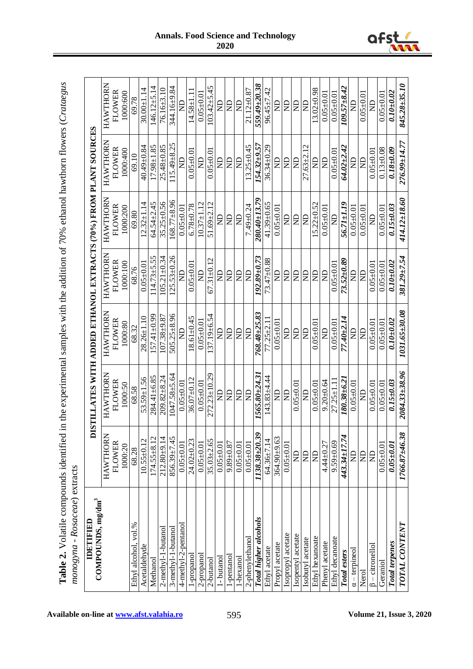| <br> <br> <br> <br>                                                                                       |                      |
|-----------------------------------------------------------------------------------------------------------|----------------------|
| ì                                                                                                         |                      |
|                                                                                                           |                      |
|                                                                                                           |                      |
| $10.001$ Decret Catalogue I Decret Catalogue I Decret Catalogue I Decret Catalogue I Decret Catalogue I D |                      |
|                                                                                                           |                      |
|                                                                                                           |                      |
|                                                                                                           |                      |
|                                                                                                           |                      |
|                                                                                                           |                      |
|                                                                                                           |                      |
| equal the experimental samples with the addition of 70% eth.                                              |                      |
|                                                                                                           |                      |
|                                                                                                           |                      |
|                                                                                                           |                      |
|                                                                                                           |                      |
|                                                                                                           |                      |
|                                                                                                           | こうしょう こうりょう          |
|                                                                                                           |                      |
| Volotile compounc                                                                                         | りょうりょう こうこうりょう       |
|                                                                                                           | ֖֚֚֚֚֚֚֚֚֚֚֚֚֞֡<br>1 |
| $\frac{1}{2}$<br>.<br>د                                                                                   |                      |
|                                                                                                           |                      |

| COMPOUNDS, mg/dm <sup>3</sup><br><b>UELENAI</b> |                       | DISTILLATES WITH ADDED ETHANOL EXTRACTS (70%) FROM PLANT SOURCES |                       |                    |                  |                     |                      |
|-------------------------------------------------|-----------------------|------------------------------------------------------------------|-----------------------|--------------------|------------------|---------------------|----------------------|
|                                                 | HAWTHORN              | HAWTHORN                                                         | HAWTHORN              | HAWTHORN           | HAWTHORN         | <b>HAWTHORN</b>     | HAWTHORN             |
|                                                 | FLOWER                | FLOWER                                                           | FLOWER                | FLOWER             | FLOWER           | FLOWER              | <b>FLOWER</b>        |
|                                                 | 1000:20               | 1000:50                                                          | 1000:80               | 1000:100           | 1000:200         | 1000:400            | 1000:600             |
| $. \text{vol.}\%$<br>Ethyl alcohol              | 68.28                 | 68.58                                                            | 68.32                 | 68.76              | 69.80            | 69.10               | 69.78                |
| Acetaldehyde                                    | $10.55 \pm 0.12$      | 53.59±1.56                                                       | $28.26 \pm 1.10$      | $0.05 + 0.01$      | $12.32 \pm 1.14$ | 40.49±0.84          | $30.00 \pm 1.14$     |
| Methanol                                        | $174.55 \pm 8.12$     | $284.41 \pm 6.85$                                                | $157.41 \pm 0.99$     | $14.73 \pm 5.55$   | 64.54±2.45       | $17.98 \pm 1.85$    | $146.12 \pm 5.14$    |
| 2-methyl-1-butanol                              | $212.80 + 9.14$       | $209.82 \pm 8.24$                                                | $107.38 + 9.87$       | $105.21 \pm 0.34$  | $35.25 \pm 0.56$ | $25.48 \pm 0.85$    | 76.16±3.10           |
| 3-methyl-1-butanol                              | $856.39 \pm 7.45$     | $047.58 + 5.64$                                                  | $505.25 \pm 8.96$     | $.25.53 \pm 0.26$  | $.68.77\pm8.96$  | $15.49 \pm 8.25$    | 344.16±9.84          |
| 4-methyl-2-pentanol                             | $0.05 + 0.01$         | $0.05 + 0.01$                                                    | $\Xi$                 | $\Xi$              | $0.05 + 0.0$     | $\Xi$               | g                    |
| l-propanol                                      | 24.02±0.23            | $36.07 \pm 0.12$                                                 | $8.61 \pm 0.45$       | $0.05 + 0.0$       | $6.78 + 0.78$    | $0.05 + 0.0$        | $14.58 \pm 1.1$      |
| 2-propanol                                      | $0.05 + 0.01$         | $0.05 \pm 0.01$                                                  | $0.05 \pm 0.01$       | g                  | $10.37 \pm 1.12$ | g                   | $0.05 + 0.01$        |
| 2-butanol                                       | $35.03 + 2.65$        | $272.23 \pm 10.29$                                               | $37.19 + 6.54$        | $67.31 \pm 0.12$   | 51.69 $\pm$ 2.12 | $0.05 \pm 0.01$     | $103.42 \pm 5.45$    |
| l - butanol                                     | $0.05 + 0.01$         | $\Xi$                                                            | $\Xi$                 | g                  | $\Xi$            | g                   | $\Xi$                |
| -pentanol                                       | $9.89 + 0.87$         | $\Xi$                                                            | $\Xi$                 | g                  | $\Xi$            | g                   | $\Xi$                |
| 1-hexanol                                       | 0.05000               | $\Xi$                                                            | $\Xi$                 | g                  | $\Xi$            | $\Xi$               | $\Xi$                |
| 2-phenylethanol                                 | $0.05 + 0.01$         | $\overline{\mathbb{R}}$                                          | $\overline{d}N$       | $\overline{d}$     | $7.49 \pm 0.24$  | $13.25 \pm 0.45$    | $21.12 \pm 0.87$     |
| Total higher alcohols                           | $1138.38 {\pm} 20.39$ | 1565.80±24.31                                                    | 768.48±25.83          | 192.89±0.73        | $280.40 + 13.79$ | $154.32 {\pm} 9.57$ | $559.49 {\pm} 20.38$ |
| Ethyl acetate                                   | $64.36 \pm 7.14$      | $143.83 \pm 4.44$                                                | $77.25 \pm 2.11$      | $73.47 \pm 0.88$   | $41.39 \pm 0.65$ | $36.34 \pm 0.29$    | $96.45 \pm 7.42$     |
| Propyl acetate                                  | 364.90±9.63           | g                                                                | $0.05 \pm 0.01$       | $\Xi$              | $0.05 + 0.01$    | $\Xi$               | $\Xi$                |
| Isopropyl acetate                               | $0.05 + 0.01$         | $\overline{B}$                                                   | $\Xi$                 | $\Xi$              | g                | $\Xi$               | $\Xi$                |
| Isopentyl acetate                               | g                     | $0.05 + 0.0$                                                     | $\Xi$                 | g                  | g                | £                   | g                    |
| Isobutyl acetate                                | g                     | g                                                                | g                     | g                  | g                | $27.63 + 2.12$      | $\Xi$                |
| Ethyl hexanoate                                 | $\Xi$                 | $0.05 + 0.0$                                                     | $0.05 + 0.0$          | g                  | $15.22 \pm 0.52$ | $\mathsf{R}$        | $13.02 \pm 0.98$     |
| Phenyl acetate                                  | $4.44 \pm 0.27$       | $9.20 + 0.64$                                                    | $\Xi$                 | $\Xi$              | $0.05 + 0.0$     | $\mathbf{E}$        | $0.05 + 0.0$         |
| Ethyl decanoate                                 | $9.59 + 0.69$         | $27.25 \pm 1.1$                                                  | $0.05 + 0.0$          | $0.05 + 0.0$       | g                | $0.05 + 0.0$        | $0.05 + 0.0$         |
| Total esters                                    | 443.34±17.74          | $180.38 + 6.2$                                                   | 77.40±2.14            | $73.52 {\pm} 0.89$ | $56.71 \pm 1.19$ | 64.02±2.42          | $109.57 + 8.42$      |
| $\alpha$ – terpineo.                            | g                     | $0.05 + 0.0$                                                     | $\mathsf{B}$          | g                  | $0.05 + 0.01$    | $\Xi$               | $\Xi$                |
| Nerol                                           | $\Xi$                 | g                                                                | $\Xi$                 | $\Xi$              | $0.05 \pm 0.01$  | $\Xi$               | $0.05 \pm 0.01$      |
| $\beta$ – citronellol                           | $\Xi$                 | $0.05 + 0.0$                                                     | $0.05 \pm 0.01$       | $0.05 + 0.0$       | £                | $0.05 + 0.01$       | $\Xi$                |
| Geraniol                                        | $0.05 + 0.01$         | $0.05 + 0.01$                                                    | $0.05 + 0.01$         | $0.05 + 0.01$      | $0.05 + 0.01$    | $0.13 \pm 0.08$     | $0.05 + 0.01$        |
| <b>Total terpenes</b>                           | $0.05 \pm 0.01$       | $0.15 \pm 0.03$                                                  | $0.10 + 0.02$         | $0.10 - 0.02$      | $0.15 - 0.03$    | 0.1810.09           | $0.10 - 0.02$        |
| <b>TOTAL CONTENT</b>                            | $1766.87{\pm}46.38$   | $2084.33{\pm}38.96$                                              | <b>80'031'027'071</b> | $381.29 \pm 7.54$  | 414.12±18.60     | $276.99 \pm 14.77$  | $845.28 \pm 35.10$   |



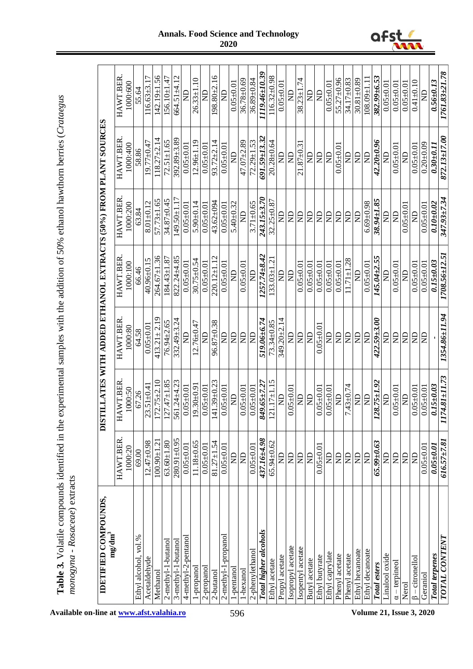| י ששבבשי ביני בביטו ואת הסוונות ע                                                                                                                                                                                              |                                                                       |
|--------------------------------------------------------------------------------------------------------------------------------------------------------------------------------------------------------------------------------|-----------------------------------------------------------------------|
|                                                                                                                                                                                                                                |                                                                       |
| where the main coupled in the coupled of the coupled of the coupled of the coupled of the coupled of the coupled of the coupled of the coupled of the coupled of the coupled of the coupled of the coupled of the coupled of t |                                                                       |
| ad in the experimental samples with the addition of 50% ethanol hawthorm berries (Cratagou                                                                                                                                     |                                                                       |
| ואי שנת נות א                                                                                                                                                                                                                  |                                                                       |
| Table 3 Volatile compounds idea<br>ישנו שש שנייש                                                                                                                                                                               | $P$ and $P$ and $P$ and $P$ and $P$ and $P$ and $P$ and $P$<br>י שששש |
| is an                                                                                                                                                                                                                          | ì                                                                     |

| <b>IDETIFIED COMPOUNDS.</b>                             |                    | DISTILLATES WITH ADDED ETHANOL EXTRACTS (50%) FROM PLANT SOURCES |                    |                       |                   |                    |                        |
|---------------------------------------------------------|--------------------|------------------------------------------------------------------|--------------------|-----------------------|-------------------|--------------------|------------------------|
| $\mathrm{mg}/\mathrm{dm}^3$                             | <b>HAWT.BER</b>    | <b>HAWT.BER</b>                                                  | <b>HAWT.BER</b>    | <b>HAWT.BER</b>       | <b>HAWT.BER</b>   | <b>HAWT.BER</b>    | <b>HAWT.BER</b>        |
|                                                         | 1000:20            | 1000:50                                                          | 1000:80            | 1000:100              | 1000:200          | 1000:400           | 1000:600               |
| Ethyl alcohol, vol.%                                    | 69.00              | 67.26                                                            | 64.58              | 66.46                 | 63.84             | 58.86              | 55.64                  |
| Acetaldehyde                                            | $12.47 + 0.98$     | $23.51 \pm 0.41$                                                 | $0.05 \pm 0.01$    | 40.96±0.15            | $8.01 + 0.12$     | 19.77 $\pm$ 0.47   | $116.63\pm3.17$        |
| Methanol                                                | $100.90 \pm 1.21$  | $172.75 \pm 2.10$                                                | $413.21 \pm 2.19$  | $264.67 \pm 1.36$     | $57.73 \pm 1.65$  | $118.27 \pm 2.14$  | $142.19 \pm 1.56$      |
| 2-methyl-1-butanol                                      | $63.60 + 1.80$     | $127.47 \pm 1.85$                                                | 76.94±2.65         | $184.43 \pm 1.87$     | 34.87±0.45        | $72.51 \pm 1.65$   | $156.10 \pm 1.47$      |
| 3-methyl-1-butanol                                      | $280.91 \pm 0.95$  | 561.24±4.23                                                      | 332.49±3.24        | 822.24±4.85           | $49.50 \pm 1.1$   | 392.89±3.89        | $664.51 \pm 4.12$      |
| 4-methyl-2-pentanol                                     | $0.05 + 0.01$      | $0.05 \pm 0.01$                                                  | $\Xi$              | $0.05 + 0.01$         | $0.05 + 0.01$     | $0.05 \pm 0.01$    | $\Xi$                  |
| propanol-                                               | $1.18 + 0.65$      | $19.30 + 0.9$                                                    | $12.76 + 0.47$     | $30.75 \pm 0.54$      | 5.90 $\pm$ 0.14   | $12.96 \pm 1.19$   | $\Xi$<br>$26.33 \pm 1$ |
| 2-propanol                                              | $0.05 \pm 0.01$    | $0.05 \pm 0.01$                                                  | Ê                  | $0.05 + 0.01$         | $0.05 + 0.01$     | $0.05 \pm 0.0$     | $\Xi$                  |
| 2-butanol                                               | $81.27 \pm 1.54$   | $141.39 \pm 0.23$                                                | $96.87 \pm 0.38$   | $220.12 \pm 1.12$     | $43.62 \pm 094$   | $93.72 \pm 2.14$   | $198.80 + 2.16$        |
| -propano<br>$2$ -methy $1$ -1                           | $0.05 \pm 0.01$    | $0.05 \pm 0.01$                                                  | g                  | $0.05 \pm 0.01$       | $0.05 + 0.01$     | $0.05 \pm 0.01$    | $\Xi$                  |
| l-pentanol                                              | $\Xi$              | $\Xi$                                                            | g                  | $\Xi$                 | $5.40 + 0.32$     | E                  | $0.05 \pm 0.01$        |
| 1-hexanol                                               | $\Xi$              | $0.05 \pm 0.01$                                                  | $\Xi$              | $0.05 + 0.01$         | $\Xi$             | $47.07 + 2.89$     | $36.78 + 0.69$         |
| 2-phenylethanol                                         | $0.05 \pm 0.01$    | $0.05 + 0.0$                                                     | $\Xi$              | g                     | $3.71 + 0.65$     | $72.29 \pm 1.53$   | $36.89 + 0.84$         |
| <b>Total higher alcohols</b>                            | 437.16±4.98        | 849.65±7.2                                                       | $519.06\pm 6.74$   | $1257.74 + 8.42$      | $243.15 \pm 3.70$ | $691.59 \pm 13.32$ | 1119.46±10.39          |
| Ethyl acetate                                           | 65.94±0.62         | $121.17 \pm 1.1$                                                 | $73.34 \pm 0.85$   | $133.03 \pm 1$        | $32.25 \pm 0.8$   | $20.28 + 0.64$     | $116.32 \pm 0.98$      |
| Propyl acetate                                          | $\Xi$              | $\Xi$                                                            | $349.20 + 2.14$    | g                     | $\Xi$             | $\Xi$              | $0.05 + 0.0$           |
| sopropyl acetate                                        | $\Xi$              | $0.05 \pm 0.01$                                                  | $\Xi$              | $\Xi$                 | $\Xi$             | $\Xi$              | g                      |
| sopentyl acetate                                        | $\Xi$              | g                                                                | g                  | $0.05 + 0.0$          | $\Xi$             | $21.87 + 0.3$      | 74<br>$38.23 \pm 1$    |
| Butyl acetate                                           | $\Xi$              | $\sum_{i=1}^{n}$                                                 | $\Xi$              | $0.05 + 0.0$          | $\Xi$             | $\Xi$              | $\Xi$                  |
| Ethyl butyrate                                          | $0.05 + 0.0$       | $0.05 \pm 0.0$                                                   | $0.05 \pm 0.01$    | $0.05 + 0.0$          | $\Xi$             | $\Xi$              | $\Xi$                  |
| Ethyl caprylate                                         | $\Xi$              | $0.05 \pm 0.0$                                                   | g                  | $0.05 + 0.0$          | $\Xi$             | $\Xi$              | $0.05 + 0.0$           |
| acetate<br>Phenyl                                       | $\Xi$              | $\Xi$                                                            | g                  | $0.05 + 0.0$          | $\Xi$             | $0.05 + 0.0$       | $55.27 \pm 0.96$       |
| Phenyl acetate                                          | $\Xi$              | $7.43 \pm 0.74$                                                  | g                  | 28<br>$1.71 \pm 1$    | $\Xi$             | g                  | 34.17±0.83             |
| Ethyl hexanoate                                         | $\Xi$              | g                                                                | $\Xi$              | $\Xi$                 | $\Xi$             | $\Xi$              | 88.0∓18.03             |
| Ethyl decanoate                                         | $\epsilon$         | $\mathbb{R}$                                                     | $\Xi$              | $0.05 + 0.01$         | $6.69 + 0.98$     | E                  | $108.09 + 1$           |
| Total esters                                            | $65.99 \pm 0.63$   | $128.75 \pm 1.92$                                                | $422.59 \pm 3.00$  | 55<br>$145.04 \pm 2.$ | 38.94±1.85        | $42.20 \pm 0.96$   | $382.99 \pm 6.5$       |
| Linalool oxide                                          | $\Xi$              | E                                                                | g                  | Œ                     | g                 |                    | $0.05 \pm 0.0$         |
| $\frac{\alpha - \text{terpined}}{\alpha - \text{imod}}$ | $\overline{R}$     | $0.05 \pm 0.01$                                                  | g                  | $0.05 + 0.01$         | $\Xi$             | $0.05 + 0.0$       | $0.05 + 0.0$           |
| Nerol                                                   | $\Xi$              | $\Xi$                                                            | $\Xi$              | $\Xi$                 | $0.05 + 0.0$      |                    | $0.05 + 0.0$           |
| $\beta$ – citronellol                                   | $\overline{D}$     | $0.05 \pm 0.01$                                                  | $\Xi$              | $0.05 \pm 0.01$       | E                 | $0.05 + 0.0$       | $0.41 + 0.10$          |
| Geraniol                                                | $0.05 + 0.0$       | $0.05 \pm 0.01$                                                  | g                  | $0.05 + 0.01$         | $0.05 + 0.01$     | $0.20 + 0.09$      | g                      |
| <b>Total terpenes</b>                                   | $0.05 \pm 0.01$    | $0.15 \pm 0.03$                                                  |                    | $0.15 + 0.03$         | $0.10 - 0.02$     | $0.30 \pm 0.11$    | $0.56 - 0.13$          |
| <b>LNALCONARYL</b>                                      | <i>616.57±7.81</i> | 174.81±11.73                                                     | $1354.86 \pm 1.94$ | 1708.56±12.5          | $347.93 \pm 7.34$ | 872.13±17.00       | 1761.83±21.78          |



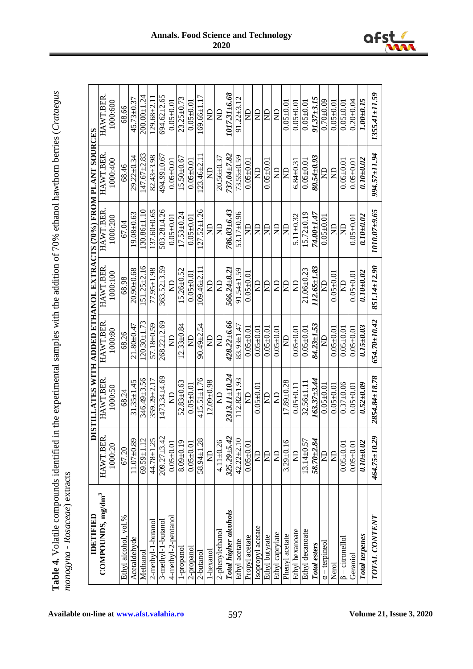| "ted in the experimental samples with the addition of 70% ethanol hawthorn berries (Crotacon |  |
|----------------------------------------------------------------------------------------------|--|
| ໍ່                                                                                           |  |
|                                                                                              |  |

| IDETIFIED                     |                     | DISTILLATES WITH ADDED ETHANOL EXTRACTS (70%) FROM PLANT SOURCES |                      |                  |                   |                              |                 |
|-------------------------------|---------------------|------------------------------------------------------------------|----------------------|------------------|-------------------|------------------------------|-----------------|
| COMPOUNDS, mg/dm <sup>3</sup> | نم<br>HAWT.BEI      | <b>HAWT.BER</b>                                                  | <b>HAWT.BER</b>      | <b>HAWT.BER</b>  | <b>HAWT.BER</b>   | HAWT.BER                     | HAWT.BER.       |
|                               | 1000:20             | 1000:50                                                          | 1000:80              | 1000:100         | 1000:200          | 1000:400                     | 1000:600        |
| Ethyl alcohol, vol.%          | 67.20               | 68.24                                                            | 68.26                | 68.98            | 67.04             | 68.46                        | 68.66           |
| Acetaldehyde                  | $11.07 + 0.89$      | $31.35 \pm 1.45$                                                 | 71.80±0.47           | 89.0∓06'07       | $19.08 + 0.63$    | 29.22±0.34                   | 45.73±0.37      |
| Methanol                      | $69.59 \pm 1.12$    | 346.49±3.56                                                      | $120.30 \pm 1.73$    | $51.25 \pm 2.16$ | $130.86 \pm 1.10$ | $147.67 + 2.83$              | $200.00 + 1.24$ |
| $2$ -methyl-1-butanol         | 44.78±1.25          | $359.29 \pm 2.17$                                                | 57.18±0.59           | $77.95 \pm 1.98$ | 137.60±0.65       | $82.43 + 3.98$               | $129.68 + 2.1$  |
| 3-methyl-1-butanol            | 209.27±3.42         | $1473.34 + 4.69$                                                 | $268.22 \pm 2.69$    | $363.52 + 3.59$  | 503.28±4.26       | 494.99±0.67                  | 694.62±2.65     |
| 4-methyl-2-pentano            | $0.05 \pm 0.01$     | $\Xi$                                                            | £                    | $\Xi$            | $0.05 \pm 0.01$   | $0.05 \pm 0.01$              | $0.05 \pm 0.01$ |
| l-propanol                    | $8.09 + 0.19$       | $52.83 + 0.63$                                                   | $12.33 \pm 0.84$     | $5.26 + 0.52$    | $17.53 \pm 0.24$  | $15.50 \pm 0.67$             | $23.25 + 0.7$   |
| 2-propanol                    | $0.05 \pm 0.01$     | $0.05 \pm 0.01$                                                  | ę                    | $0.05 \pm 0.01$  | $0.05 + 0.01$     | $0.05 \pm 0.01$              | $0.05 \pm 0.01$ |
| 2-butanol                     | $58.94 \pm 1.2$     | $415.51 \pm 1.76$                                                | $90.49 \pm 2.54$     | $.09.46 \pm 2.$  | $127.52 \pm 1.26$ | $123.46 + 2.$                | $.69.66 \pm 1$  |
| -hexanol                      | $\Xi$               | $12.09 + 0.98$                                                   | g                    | $\Xi$            | $\Xi$             | $\Xi$                        | g               |
| 2-phenylethanol               | $4.11 \pm 0.26$     | g                                                                | g                    | $\Xi$            | $\Xi$             | $20.56 \pm 0.37$             | $\Xi$           |
| Total higher alcohols         | N<br>$325.29 + 5.4$ | 2313.11±10.24                                                    | $428.22 \pm 6.66$    | $566.24 \pm 8.2$ | $786.03{\pm}6.43$ | 737.04±7.82                  | 1017.31±6.68    |
| Ethyl acetate                 | $42.22 \pm 2.1$     | $112.82 \pm 1.93$                                                | $83.93 \pm 1.47$     | $91.54 \pm 1.59$ | 53.17 $\pm$ 0.96  | $73.55 \pm 0.59$             | $91.22 \pm 3.1$ |
| Propyl acetate                | $0.05 \pm 0.01$     | g                                                                | $0.05 \pm 0.01$      | $0.05 \pm 0.01$  | g                 | $0.05 + 0.01$                | $\Xi$           |
| Isopropyl acetate             | $\Xi$               | $0.05 + 0.0$                                                     | $0.05 + 0.01$        | g                | $\beta$           | $\Xi$                        | $\Xi$           |
| Ethyl butyrate                | $\Xi$               | $\Xi$                                                            | $0.05 \pm 0.01$      | g                | g                 | $0.05 \pm 0.01$              | $\Xi$           |
| Ethyl caprylate               | $\Xi$               | g                                                                | $0.05 + 0.01$        | $\Xi$            | g                 | g                            | $\Xi$           |
| Phenyl acetate                | $3.29 \pm 0.16$     | 17.89±0.28                                                       | ę                    | g                | g                 | g                            | $0.05 + 0.0$    |
| Ethyl hexanoate               | $\Xi$               | $0.05 \pm 0.1$                                                   | $0.05 \pm 0.01$      | $\Xi$            | $5.11 \pm 0.32$   | $6.84 \pm 0.3$               | $0.05 + 0.01$   |
| Ethyl decanoate               | $13.14 \pm 0.57$    | $32.56 \pm 1.1$                                                  | $0.05 + 0.01$        | $21.06 \pm 0.23$ | $15.72 \pm 0.19$  | $0.05 + 0.0$                 | $0.05 + 0.01$   |
| Total esters                  | $58.70 + 2.84$      | $163.37{\scriptstyle \pm3.44}$                                   | 84.23±1.53           | 112.65±1.83      | 74.00±1.47        | 80.54±0.93                   | $91.37 + 3.15$  |
| $\alpha$ – terpineol          | $\Xi$               | $0.05 + 0.01$                                                    | $\Xi$                | g                | $0.05 + 0.0$      | $\Xi$                        | $0.70 + 0.09$   |
| Nerol                         | $\Xi$               | $0.05 \pm 0.01$                                                  | $0.05 + 0.01$        | $0.05 \pm 0.01$  | g                 | $\Xi$                        | $0.05 + 0.01$   |
| $\beta$ – citronellol         | $0.05 + 0.01$       | $0.37 + 0.06$                                                    | $0.05 \pm 0.01$      | Ę                | £                 | $0.05 \pm 0.01$              | $0.05 \pm 0.01$ |
| Geraniol                      | $0.05 \pm 0.01$     | $0.05 \pm 0.01$                                                  | $0.05 \pm 0.01$      | $0.05 \pm 0.01$  | $0.05 + 0.01$     | $0.05 + 0.01$                | $0.20 + 0.04$   |
| <b>Total</b> terpenes         | $0.10 + 0.02$       | $0.52 + 0.09$                                                    | $0.15 \pm 0.03$      | $0.10 - 0.02$    | $0.10 + 0.02$     | $0.10{\scriptstyle \pm}0.02$ | $1.00 + 0.15$   |
| <b>TOTAL CONTENT</b>          | 464.75±10.29        | 2854.84±18.78                                                    | $654.70 {\pm} 10.42$ | 851.14±12.90     | $1010.07 + 9.65$  | 994.57±1.94                  | 1355.41±11.59   |



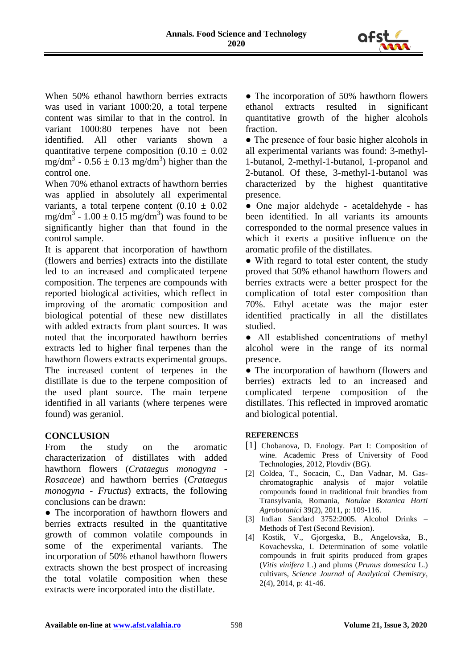

When 50% ethanol hawthorn berries extracts was used in variant 1000:20, a total terpene content was similar to that in the control. In variant 1000:80 terpenes have not been identified. All other variants shown a quantitative terpene composition  $(0.10 \pm 0.02)$ mg/dm<sup>3</sup> -  $0.56 \pm 0.13$  mg/dm<sup>3</sup>) higher than the control one.

When 70% ethanol extracts of hawthorn berries was applied in absolutely all experimental variants, a total terpene content  $(0.10 \pm 0.02)$ mg/dm<sup>3</sup> - 1.00  $\pm$  0.15 mg/dm<sup>3</sup>) was found to be significantly higher than that found in the control sample.

It is apparent that incorporation of hawthorn (flowers and berries) extracts into the distillate led to an increased and complicated terpene composition. The terpenes are compounds with reported biological activities, which reflect in improving of the aromatic composition and biological potential of these new distillates with added extracts from plant sources. It was noted that the incorporated hawthorn berries extracts led to higher final terpenes than the hawthorn flowers extracts experimental groups. The increased content of terpenes in the distillate is due to the terpene composition of the used plant source. The main terpene identified in all variants (where terpenes were found) was geraniol.

## **CONCLUSION**

From the study on the aromatic characterization of distillates with added hawthorn flowers (*Crataegus monogyna - Rosaceae*) and hawthorn berries (*Crataegus monogyna - Fructus*) extracts, the following conclusions can be drawn:

• The incorporation of hawthorn flowers and berries extracts resulted in the quantitative growth of common volatile compounds in some of the experimental variants. The incorporation of 50% ethanol hawthorn flowers extracts shown the best prospect of increasing the total volatile composition when these extracts were incorporated into the distillate.

• The incorporation of 50% hawthorn flowers ethanol extracts resulted in significant quantitative growth of the higher alcohols fraction.

• The presence of four basic higher alcohols in all experimental variants was found: 3-methyl-1-butanol, 2-methyl-1-butanol, 1-propanol and 2-butanol. Of these, 3-methyl-1-butanol was characterized by the highest quantitative presence.

● One major aldehyde - acetaldehyde - has been identified. In all variants its amounts corresponded to the normal presence values in which it exerts a positive influence on the aromatic profile of the distillates.

• With regard to total ester content, the study proved that 50% ethanol hawthorn flowers and berries extracts were a better prospect for the complication of total ester composition than 70%. Ethyl acetate was the major ester identified practically in all the distillates studied.

● All established concentrations of methyl alcohol were in the range of its normal presence.

• The incorporation of hawthorn (flowers and berries) extracts led to an increased and complicated terpene composition of the distillates. This reflected in improved aromatic and biological potential.

#### **REFERENCES**

- [1] Chobanova, D. Enology. Part I: Composition of wine. Academic Press of University of Food Technologies, 2012, Plovdiv (BG).
- [2] Coldea, T., Socacin, C., Dan Vadnar, M. Gaschromatographic analysis of major volatile compounds found in traditional fruit brandies from Transylvania, Romania, *Notulae Botanica Horti Agrobotanici* 39(2), 2011, p: 109-116.
- [3] Indian Sandard 3752:2005. Alcohol Drinks Methods of Test (Second Revision).
- [4] Kostik, V., Gjorgeska, B., Angelovska, B., Kovachevska, I. Determination of some volatile compounds in fruit spirits produced from grapes (*Vitis vinifera* L.) and plums (*Prunus domestica* L.) cultivars, *Science Journal of Analytical Chemistry*, 2(4), 2014, p: 41-46.